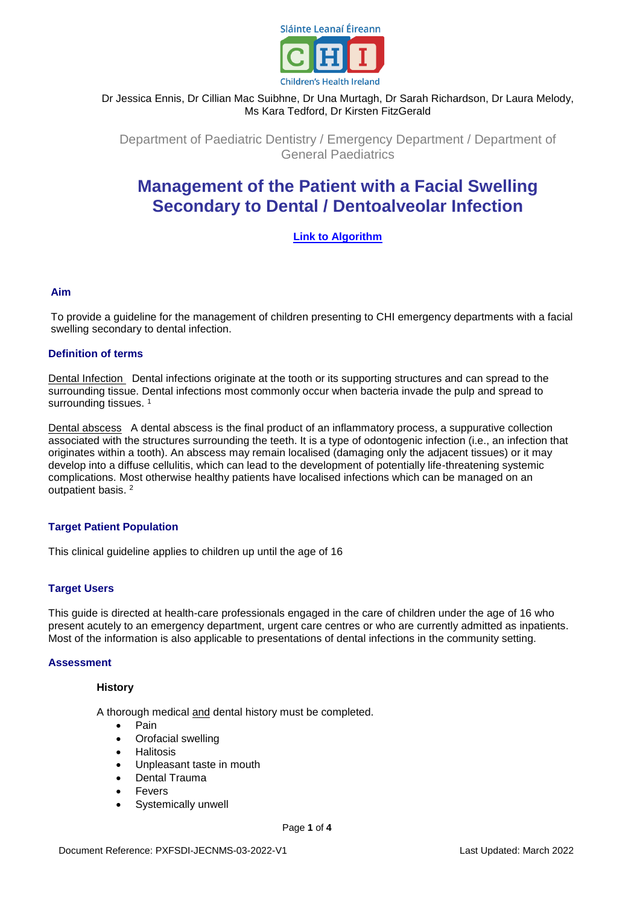

## Dr Jessica Ennis, Dr Cillian Mac Suibhne, Dr Una Murtagh, Dr Sarah Richardson, Dr Laura Melody, Ms Kara Tedford, Dr Kirsten FitzGerald

Department of Paediatric Dentistry / Emergency Department / Department of General Paediatrics

# **Management of the Patient with a Facial Swelling Secondary to Dental / Dentoalveolar Infection**

## **[Link to Algorithm](https://olchc.ie/healthcare-professionals/clinical-guidelines/clinical-guidelines-hyperlink-files/dentoalveolar-infection-short-guide.pdf)**

## **Aim**

To provide a guideline for the management of children presenting to CHI emergency departments with a facial swelling secondary to dental infection.

#### **Definition of terms**

Dental Infection Dental infections originate at the tooth or its supporting structures and can spread to the surrounding tissue. Dental infections most commonly occur when bacteria invade the pulp and spread to surrounding tissues.<sup>1</sup>

Dental abscess A dental abscess is the final product of an inflammatory process, a suppurative collection associated with the structures surrounding the teeth. It is a type of odontogenic infection (i.e., an infection that originates within a tooth). An abscess may remain localised (damaging only the adjacent tissues) or it may develop into a diffuse cellulitis, which can lead to the development of potentially life-threatening systemic complications. Most otherwise healthy patients have localised infections which can be managed on an outpatient basis. 2

## **Target Patient Population**

This clinical guideline applies to children up until the age of 16

## **Target Users**

This guide is directed at health-care professionals engaged in the care of children under the age of 16 who present acutely to an emergency department, urgent care centres or who are currently admitted as inpatients. Most of the information is also applicable to presentations of dental infections in the community setting.

#### **Assessment**

#### **History**

A thorough medical and dental history must be completed.

- Pain
- Orofacial swelling
- **Halitosis**
- Unpleasant taste in mouth
- Dental Trauma
- Fevers
- Systemically unwell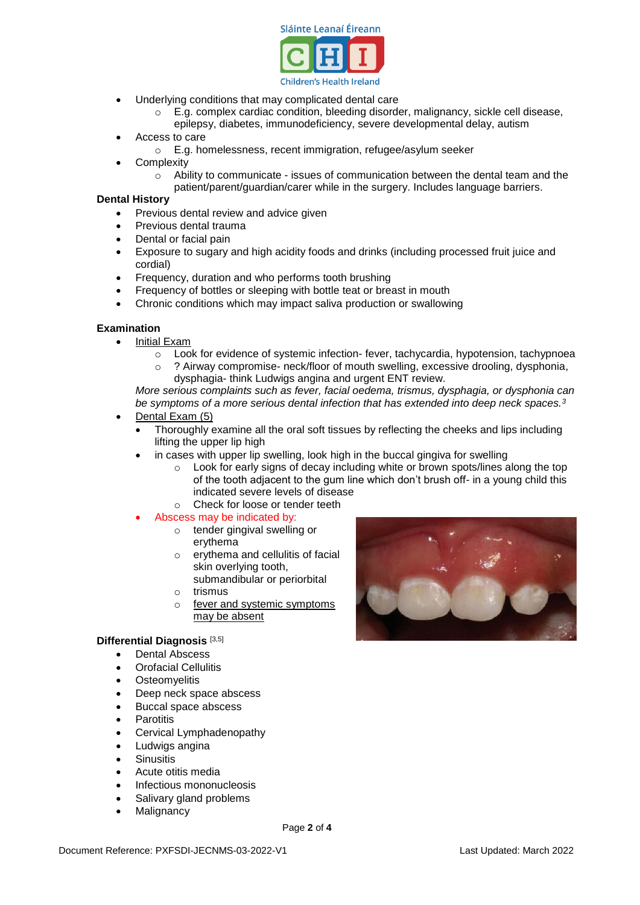

- Underlying conditions that may complicated dental care
	- o E.g. complex cardiac condition, bleeding disorder, malignancy, sickle cell disease, epilepsy, diabetes, immunodeficiency, severe developmental delay, autism
- Access to care
	- o E.g. homelessness, recent immigration, refugee/asylum seeker
- **Complexity** 
	- $\circ$  Ability to communicate issues of communication between the dental team and the
	- patient/parent/guardian/carer while in the surgery. Includes language barriers.

#### **Dental History**

- Previous dental review and advice given
- Previous dental trauma
- Dental or facial pain
- Exposure to sugary and high acidity foods and drinks (including processed fruit juice and cordial)
- Frequency, duration and who performs tooth brushing
- Frequency of bottles or sleeping with bottle teat or breast in mouth
- Chronic conditions which may impact saliva production or swallowing

#### **Examination**

- Initial Exam
	- o Look for evidence of systemic infection- fever, tachycardia, hypotension, tachypnoea
	- o ? Airway compromise- neck/floor of mouth swelling, excessive drooling, dysphonia, dysphagia- think Ludwigs angina and urgent ENT review.

*More serious complaints such as fever, facial oedema, trismus, dysphagia, or dysphonia can be symptoms of a more serious dental infection that has extended into deep neck spaces.<sup>3</sup>* Dental Exam (5)

- - Thoroughly examine all the oral soft tissues by reflecting the cheeks and lips including lifting the upper lip high
		- in cases with upper lip swelling, look high in the buccal gingiva for swelling
			- $\circ$  Look for early signs of decay including white or brown spots/lines along the top of the tooth adjacent to the gum line which don't brush off- in a young child this indicated severe levels of disease
			- o Check for loose or tender teeth
	- Abscess may be indicated by:
		- o tender gingival swelling or erythema
		- o erythema and cellulitis of facial skin overlying tooth, submandibular or periorbital
		- o trismus
		- o fever and systemic symptoms may be absent

#### **Differential Diagnosis** [3,5]

- Dental Abscess
- Orofacial Cellulitis
- **•** Osteomyelitis
- Deep neck space abscess
- Buccal space abscess
- **Parotitis**
- Cervical Lymphadenopathy
- Ludwigs angina
- **Sinusitis**
- Acute otitis media
- Infectious mononucleosis
- Salivary gland problems
- **Malignancy**



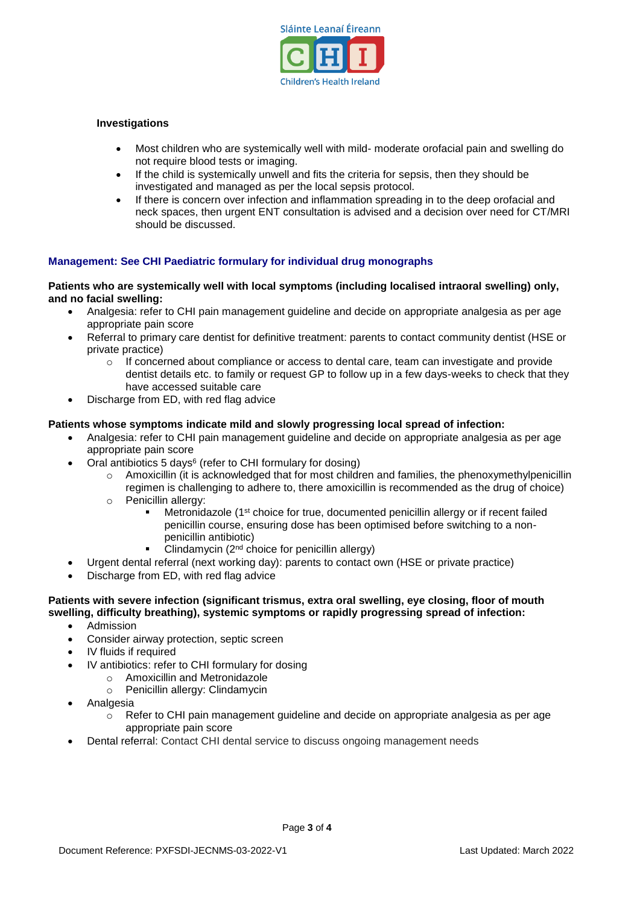

## **Investigations**

- Most children who are systemically well with mild- moderate orofacial pain and swelling do not require blood tests or imaging.
- If the child is systemically unwell and fits the criteria for sepsis, then they should be investigated and managed as per the local sepsis protocol.
- If there is concern over infection and inflammation spreading in to the deep orofacial and neck spaces, then urgent ENT consultation is advised and a decision over need for CT/MRI should be discussed.

## **Management: See CHI Paediatric formulary for individual drug monographs**

#### **Patients who are systemically well with local symptoms (including localised intraoral swelling) only, and no facial swelling:**

- Analgesia: refer to CHI pain management guideline and decide on appropriate analgesia as per age appropriate pain score
- Referral to primary care dentist for definitive treatment: parents to contact community dentist (HSE or private practice)
	- $\circ$  If concerned about compliance or access to dental care, team can investigate and provide dentist details etc. to family or request GP to follow up in a few days-weeks to check that they have accessed suitable care
- Discharge from ED, with red flag advice

#### **Patients whose symptoms indicate mild and slowly progressing local spread of infection:**

- Analgesia: refer to CHI pain management guideline and decide on appropriate analgesia as per age appropriate pain score
- Oral antibiotics 5 days $6$  (refer to CHI formulary for dosing)
	- o Amoxicillin (it is acknowledged that for most children and families, the phenoxymethylpenicillin regimen is challenging to adhere to, there amoxicillin is recommended as the drug of choice)
	- o Penicillin allergy:
		- **Metronidazole (1st choice for true, documented penicillin allergy or if recent failed** penicillin course, ensuring dose has been optimised before switching to a nonpenicillin antibiotic)
		- Clindamycin (2nd choice for penicillin allergy)
- Urgent dental referral (next working day): parents to contact own (HSE or private practice)
- Discharge from ED, with red flag advice

#### **Patients with severe infection (significant trismus, extra oral swelling, eye closing, floor of mouth swelling, difficulty breathing), systemic symptoms or rapidly progressing spread of infection:**

- Admission
- Consider airway protection, septic screen
- IV fluids if required
- IV antibiotics: refer to CHI formulary for dosing
	- $\circ$  Amoxicillin and Metronidazole
		- o Penicillin allergy: Clindamycin
- Analgesia
	- $\circ$  Refer to CHI pain management guideline and decide on appropriate analgesia as per age appropriate pain score
- Dental referral: Contact CHI dental service to discuss ongoing management needs